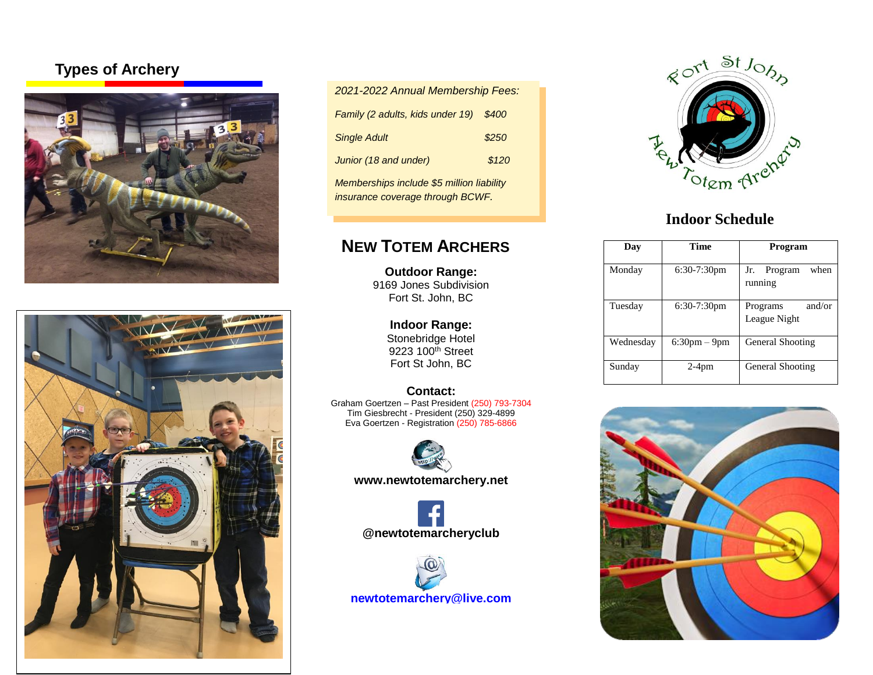## **Types of Archery**





| 2021-2022 Annual Membership Fees:         |       |  |
|-------------------------------------------|-------|--|
| Family (2 adults, kids under 19)          | \$400 |  |
| <b>Single Adult</b>                       | \$250 |  |
| Junior (18 and under)                     | \$120 |  |
| Memberships include \$5 million liability |       |  |

*insurance coverage through BCWF.* 

# **NEW TOTEM ARCHERS**

**Outdoor Range:** 9169 Jones Subdivision Fort St. John, BC

> **Indoor Range:** Stonebridge Hotel 9223 100<sup>th</sup> Street Fort St John, BC

#### **Contact:**

Graham Goertzen – Past President (250) 793-7304 Tim Giesbrecht - President (250) 329-4899 Eva Goertzen - Registration (250) 785-6866



**www.newtotemarchery.net**



**[newtotemarchery@live.com](mailto:newtotemarchery@live.com)**



## **Indoor Schedule**

| Dav       | <b>Time</b>       | Program                            |
|-----------|-------------------|------------------------------------|
| Monday    | $6:30-7:30$ pm    | when<br>Jr.<br>Program<br>running  |
| Tuesday   | $6:30-7:30$ pm    | and/or<br>Programs<br>League Night |
| Wednesday | $6:30$ pm $-9$ pm | General Shooting                   |
| Sunday    | $2-4$ pm          | General Shooting                   |